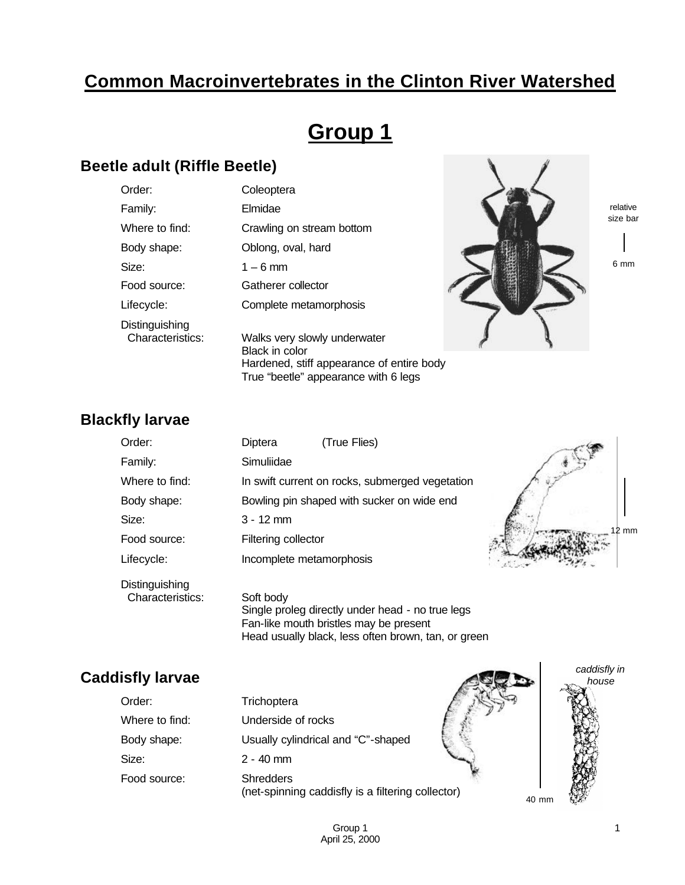## **Common Macroinvertebrates in the Clinton River Watershed**

# **Group 1**

#### **Beetle adult (Riffle Beetle)**

| Order:                             | Coleoptera                                            |  |
|------------------------------------|-------------------------------------------------------|--|
| Family:                            | Elmidae                                               |  |
| Where to find:                     | Crawling on stream bottom                             |  |
| Body shape:                        | Oblong, oval, hard                                    |  |
| Size:                              | $1 - 6$ mm                                            |  |
| Food source:                       | Gatherer collector                                    |  |
| Lifecycle:                         | Complete metamorphosis                                |  |
| Distinguishing<br>Characteristics: | Walks very slowly underwater<br><b>Black in color</b> |  |
|                                    | Hardened, stiff appearance of entire body             |  |

True "beetle" appearance with 6 legs

relative size bar

 $\lambda$ 

6 mm

### **Blackfly larvae**

| Order:                             | Diptera                  | (True Flies)                                    |       |
|------------------------------------|--------------------------|-------------------------------------------------|-------|
| Family:                            | Simuliidae               |                                                 |       |
| Where to find:                     |                          | In swift current on rocks, submerged vegetation |       |
| Body shape:                        |                          | Bowling pin shaped with sucker on wide end      |       |
| Size:                              | $3 - 12$ mm              |                                                 |       |
| Food source:                       | Filtering collector      |                                                 | 12 mm |
| Lifecycle:                         | Incomplete metamorphosis |                                                 |       |
| Distinguishing<br>Characteristics: | Soft body                |                                                 |       |

Single proleg directly under head - no true legs Fan-like mouth bristles may be present Head usually black, less often brown, tan, or green

#### **Caddisfly larvae**

| aistiy larvae  |                                                                       | house |
|----------------|-----------------------------------------------------------------------|-------|
| Order:         | Trichoptera                                                           |       |
| Where to find: | Underside of rocks                                                    |       |
| Body shape:    | Usually cylindrical and "C"-shaped                                    |       |
| Size:          | $2 - 40$ mm                                                           |       |
| Food source:   | <b>Shredders</b><br>(net-spinning caddisfly is a filtering collector) | 40 mm |

*caddisfly in* 

**AREA**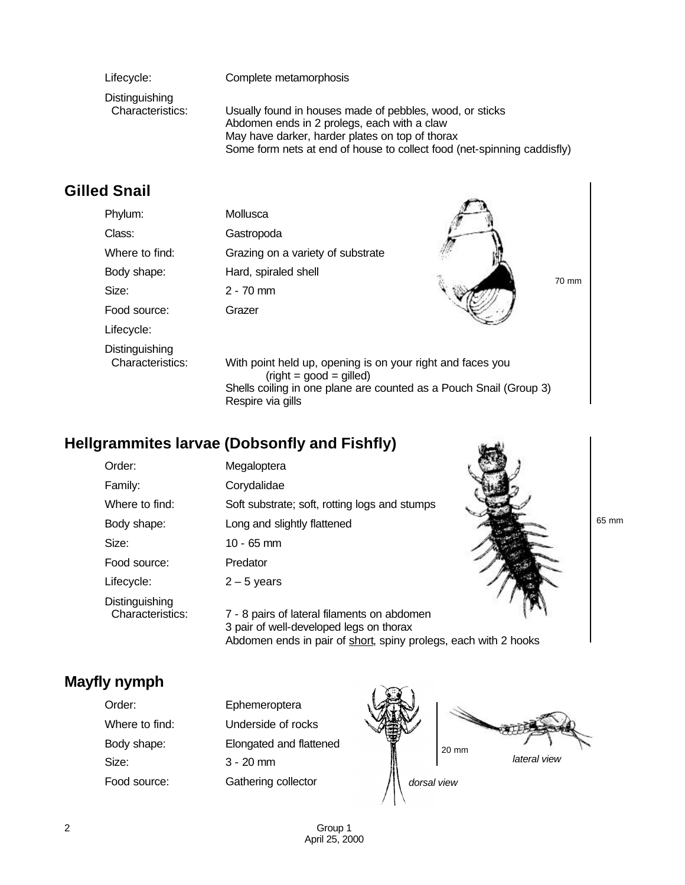| Lifecycle:                         | Complete metamorphosis                                                                                                                                                                                                                |
|------------------------------------|---------------------------------------------------------------------------------------------------------------------------------------------------------------------------------------------------------------------------------------|
| Distinguishing<br>Characteristics: | Usually found in houses made of pebbles, wood, or sticks<br>Abdomen ends in 2 prolegs, each with a claw<br>May have darker, harder plates on top of thorax<br>Some form nets at end of house to collect food (net-spinning caddisfly) |

## **Gilled Snail**

| Phylum:                            | Mollusca                                                                                                                                                      |       |
|------------------------------------|---------------------------------------------------------------------------------------------------------------------------------------------------------------|-------|
| Class:                             | Gastropoda                                                                                                                                                    |       |
| Where to find:                     | Grazing on a variety of substrate                                                                                                                             |       |
| Body shape:                        | Hard, spiraled shell                                                                                                                                          | 70 mm |
| Size:                              | $2 - 70$ mm                                                                                                                                                   |       |
| Food source:                       | Grazer                                                                                                                                                        |       |
| Lifecycle:                         |                                                                                                                                                               |       |
| Distinguishing<br>Characteristics: | With point held up, opening is on your right and faces you<br>$(right = good = gilled)$<br>Shells coiling in one plane are counted as a Pouch Snail (Group 3) |       |

## **Hellgrammites larvae (Dobsonfly and Fishfly)**

Respire via gills

| Order:                             | Megaloptera                                                                            |
|------------------------------------|----------------------------------------------------------------------------------------|
| Family:                            | Corydalidae                                                                            |
| Where to find:                     | Soft substrate; soft, rotting logs and stumps                                          |
| Body shape:                        | Long and slightly flattened                                                            |
| Size:                              | 10 - 65 mm                                                                             |
| Food source:                       | Predator                                                                               |
| Lifecycle:                         | $2 - 5$ years                                                                          |
| Distinguishing<br>Characteristics: | 7 - 8 pairs of lateral filaments on abdomen<br>3 pair of well-developed legs on thorax |

65 mm

**Mayfly nymph**

| Order:         | Ephemeroptera           |
|----------------|-------------------------|
| Where to find: | Underside of rocks      |
| Body shape:    | Elongated and flattened |
| Size:          | $3 - 20$ mm             |
| Food source:   | Gathering collector     |



Abdomen ends in pair of short, spiny prolegs, each with 2 hooks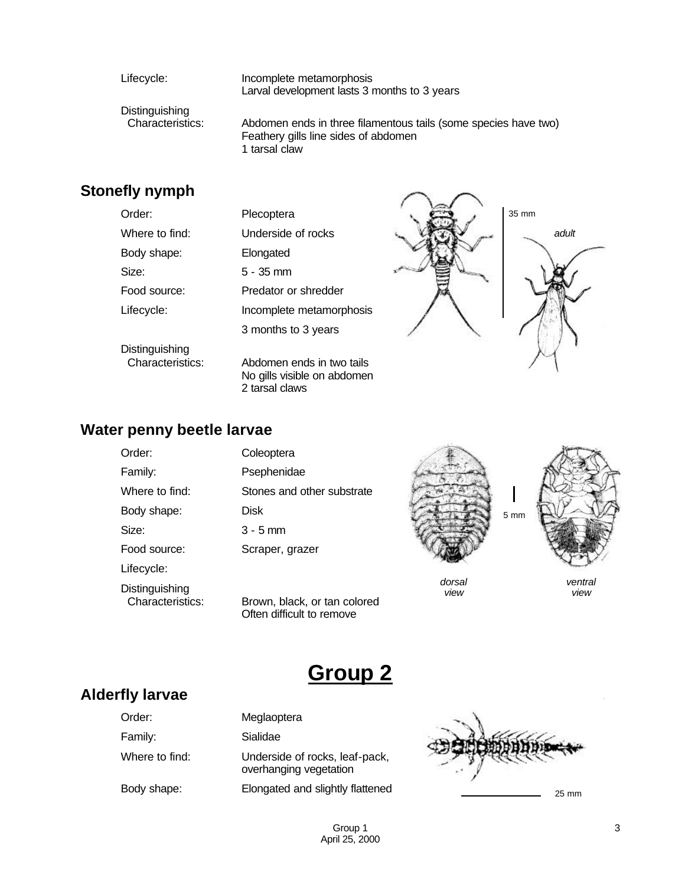Lifecycle: Incomplete metamorphosis Larval development lasts 3 months to 3 years

Distinguishing<br>Characteristics:

Abdomen ends in three filamentous tails (some species have two) Feathery gills line sides of abdomen 1 tarsal claw

### **Stonefly nymph**

| UWIWII JIYIIIPII |                                                                            |       |
|------------------|----------------------------------------------------------------------------|-------|
| Order:           | Plecoptera                                                                 | 35 mm |
| Where to find:   | Underside of rocks                                                         | adult |
| Body shape:      | Elongated                                                                  |       |
| Size:            | $5 - 35$ mm                                                                |       |
| Food source:     | Predator or shredder                                                       |       |
| Lifecycle:       | Incomplete metamorphosis                                                   |       |
|                  | 3 months to 3 years                                                        |       |
| Distinguishing   |                                                                            |       |
| Characteristics: | Abdomen ends in two tails<br>No gills visible on abdomen<br>2 tarsal claws |       |

#### **Water penny beetle larvae**

Distinguishing<br>Characteristics:

| Order:         | Coleoptera                 |
|----------------|----------------------------|
| Family:        | Psephenidae                |
| Where to find: | Stones and other substrate |
| Body shape:    | <b>Disk</b>                |
| Size:          | $3 - 5$ mm                 |
| Food source:   | Scraper, grazer            |
| Lifecycle:     |                            |

Brown, black, or tan colored Often difficult to remove



*view*

*ventral view*

**Alderfly larvae**

| Order:         | Meglaoptera                                              |
|----------------|----------------------------------------------------------|
| Family:        | Sialidae                                                 |
| Where to find: | Underside of rocks, leaf-pack,<br>overhanging vegetation |
| Body shape:    | Elongated and slightly flattened                         |



**Group 2**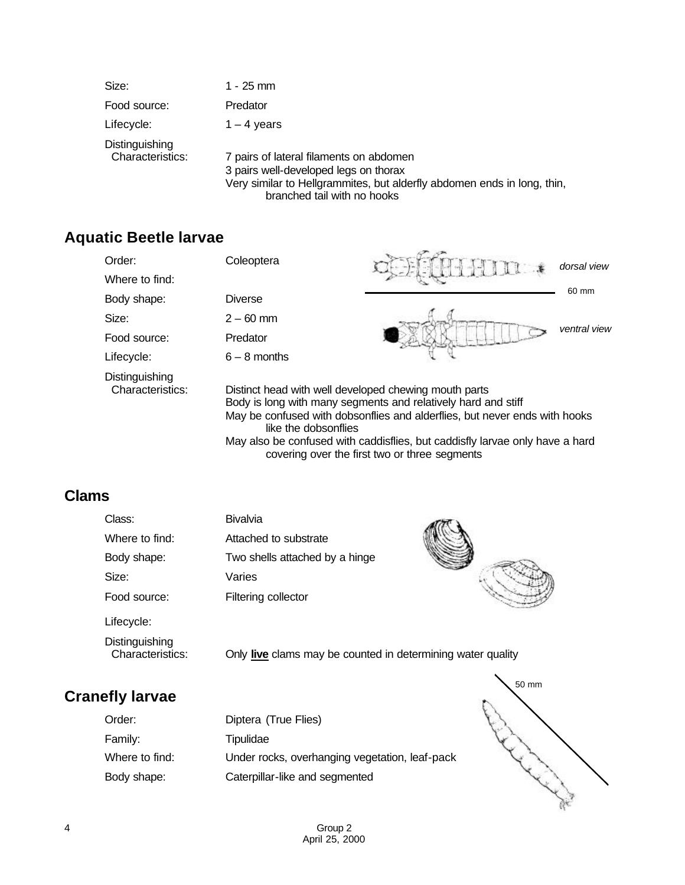| Size:                              | 1 - 25 mm                                                                                                                                                                                  |
|------------------------------------|--------------------------------------------------------------------------------------------------------------------------------------------------------------------------------------------|
| Food source:                       | Predator                                                                                                                                                                                   |
| Lifecycle:                         | $1 - 4$ years                                                                                                                                                                              |
| Distinguishing<br>Characteristics: | 7 pairs of lateral filaments on abdomen<br>3 pairs well-developed legs on thorax<br>Very similar to Hellgrammites, but alderfly abdomen ends in long, thin,<br>branched tail with no hooks |

### **Aquatic Beetle larvae**

| Order:                             | Coleoptera                                                                    |                                                                                                                                                                                                                                             | dorsal view  |
|------------------------------------|-------------------------------------------------------------------------------|---------------------------------------------------------------------------------------------------------------------------------------------------------------------------------------------------------------------------------------------|--------------|
| Where to find:                     |                                                                               |                                                                                                                                                                                                                                             |              |
| Body shape:                        | <b>Diverse</b>                                                                |                                                                                                                                                                                                                                             | 60 mm        |
| Size:                              | $2 - 60$ mm                                                                   |                                                                                                                                                                                                                                             |              |
| Food source:                       | Predator                                                                      |                                                                                                                                                                                                                                             | ventral view |
| Lifecycle:                         | $6 - 8$ months                                                                |                                                                                                                                                                                                                                             |              |
| Distinguishing<br>Characteristics: | Distinct head with well developed chewing mouth parts<br>like the dobsonflies | Body is long with many segments and relatively hard and stiff<br>May be confused with dobsonflies and alderflies, but never ends with hooks<br>المعمل ورويرها بامور ومسعول بالمواطن المواليون المتلومة والشربان المومر باسور وملحوله بروايا |              |

May also be confused with caddisflies, but caddisfly larvae only have a hard covering over the first two or three segments

## **Clams**

| Class:                             | <b>Bivalvia</b>                                             |  |
|------------------------------------|-------------------------------------------------------------|--|
| Where to find:                     | Attached to substrate                                       |  |
| Body shape:                        | Two shells attached by a hinge                              |  |
| Size:                              | Varies                                                      |  |
| Food source:                       | Filtering collector                                         |  |
| Lifecycle:                         |                                                             |  |
| Distinguishing<br>Characteristics: | Only live clams may be counted in determining water quality |  |

# **Cranefly larvae**

| Order:         | Diptera (True Flies)                           |
|----------------|------------------------------------------------|
| Family:        | Tipulidae                                      |
| Where to find: | Under rocks, overhanging vegetation, leaf-pack |
| Body shape:    | Caterpillar-like and segmented                 |

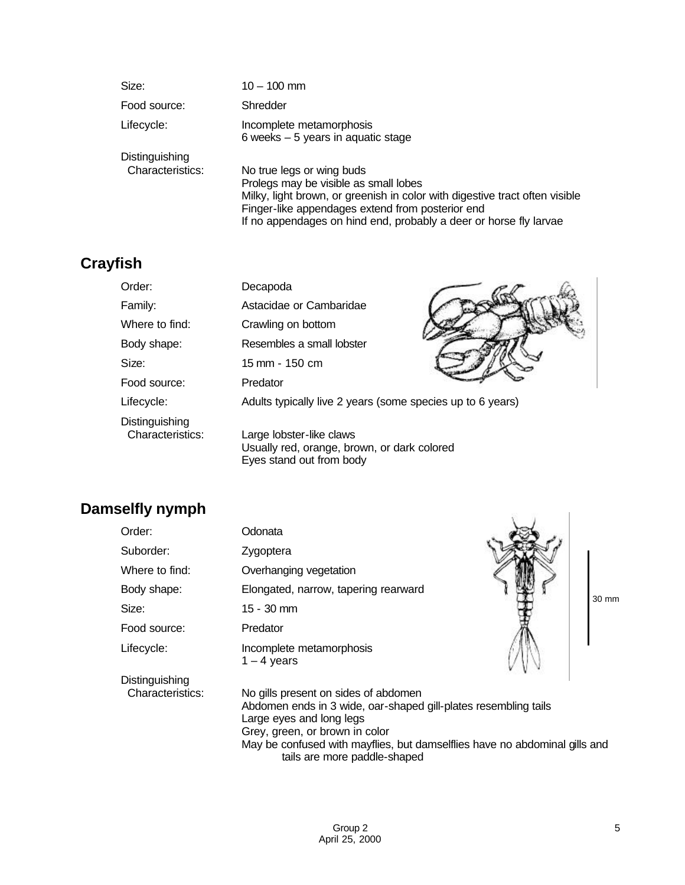| Size:            | $10 - 100$ mm                                                                                                                                                                                                                                                              |
|------------------|----------------------------------------------------------------------------------------------------------------------------------------------------------------------------------------------------------------------------------------------------------------------------|
| Food source:     | Shredder                                                                                                                                                                                                                                                                   |
| Lifecycle:       | Incomplete metamorphosis<br>6 weeks $-5$ years in aquatic stage                                                                                                                                                                                                            |
| Distinguishing   |                                                                                                                                                                                                                                                                            |
| Characteristics: | No true legs or wing buds<br>Prolegs may be visible as small lobes<br>Milky, light brown, or greenish in color with digestive tract often visible<br>Finger-like appendages extend from posterior end<br>If no appendages on hind end, probably a deer or horse fly larvae |

## **Crayfish**

| Order:                             | Decapoda                                                                                            |
|------------------------------------|-----------------------------------------------------------------------------------------------------|
| Family:                            | Astacidae or Cambaridae                                                                             |
| Where to find:                     | Crawling on bottom                                                                                  |
| Body shape:                        | Resembles a small lobster                                                                           |
| Size:                              | 15 mm - 150 cm                                                                                      |
| Food source:                       | Predator                                                                                            |
| Lifecycle:                         | Adults typically live 2 years (some species up to 6 years)                                          |
| Distinguishing<br>Characteristics: | Large lobster-like claws<br>Usually red, orange, brown, or dark colored<br>Eyes stand out from body |

## **Damselfly nymph**

| Damselfly nympn                    |                                                                                                                                                                                                                                                    |       |
|------------------------------------|----------------------------------------------------------------------------------------------------------------------------------------------------------------------------------------------------------------------------------------------------|-------|
| Order:                             | Odonata                                                                                                                                                                                                                                            |       |
| Suborder:                          | Zygoptera                                                                                                                                                                                                                                          |       |
| Where to find:                     | Overhanging vegetation                                                                                                                                                                                                                             |       |
| Body shape:                        | Elongated, narrow, tapering rearward                                                                                                                                                                                                               | 30 mm |
| Size:                              | $15 - 30$ mm                                                                                                                                                                                                                                       |       |
| Food source:                       | Predator                                                                                                                                                                                                                                           |       |
| Lifecycle:                         | Incomplete metamorphosis<br>$1 - 4$ years                                                                                                                                                                                                          |       |
| Distinguishing<br>Characteristics: | No gills present on sides of abdomen<br>Abdomen ends in 3 wide, oar-shaped gill-plates resembling tails<br>Large eyes and long legs<br>Grey, green, or brown in color<br>May be confused with moufling but demonified house an obdeminal aille and |       |

May be confused with mayflies, but damselflies have no abdominal gills and tails are more paddle-shaped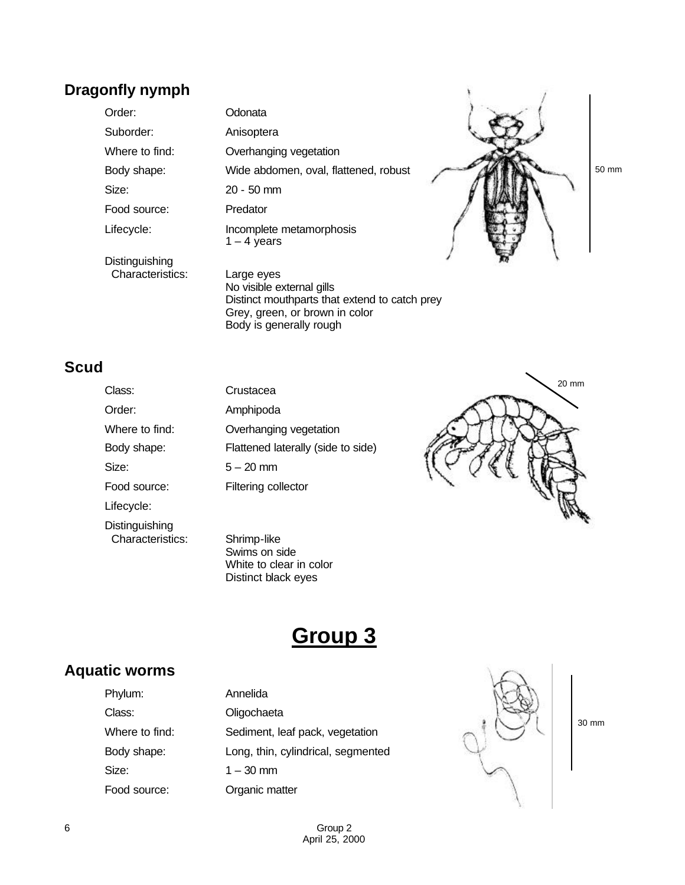## **Dragonfly nymph**

Order: Odonata Suborder: Anisoptera Size: 20 - 50 mm Food source: Predator

Where to find: **Overhanging vegetation** Body shape: Wide abdomen, oval, flattened, robust Lifecycle: Incomplete metamorphosis  $1 - 4$  years



**Distinguishing** Characteristics: Large eyes

No visible external gills Distinct mouthparts that extend to catch prey Grey, green, or brown in color Body is generally rough

## **Scud**

Class: Order: Where to find: Size: Food source: Lifecycle: Distinguishing Characteristics: Shrimp-like

| Class:         | Crustacea                          |
|----------------|------------------------------------|
| Order:         | Amphipoda                          |
| Where to find: | Overhanging vegetation             |
| Body shape:    | Flattened laterally (side to side) |
| Size:          | $5 - 20$ mm                        |
| Food source:   | Filtering collector                |
|                |                                    |

Swims on side White to clear in color Distinct black eyes

# **Group 3**

#### **Aquatic worms**

| Phylum:        | Annelida                           |
|----------------|------------------------------------|
| Class:         | Oligochaeta                        |
| Where to find: | Sediment, leaf pack, vegetation    |
| Body shape:    | Long, thin, cylindrical, segmented |
| Size:          | $1 - 30$ mm                        |
| Food source:   | Organic matter                     |



30 mm

20 mm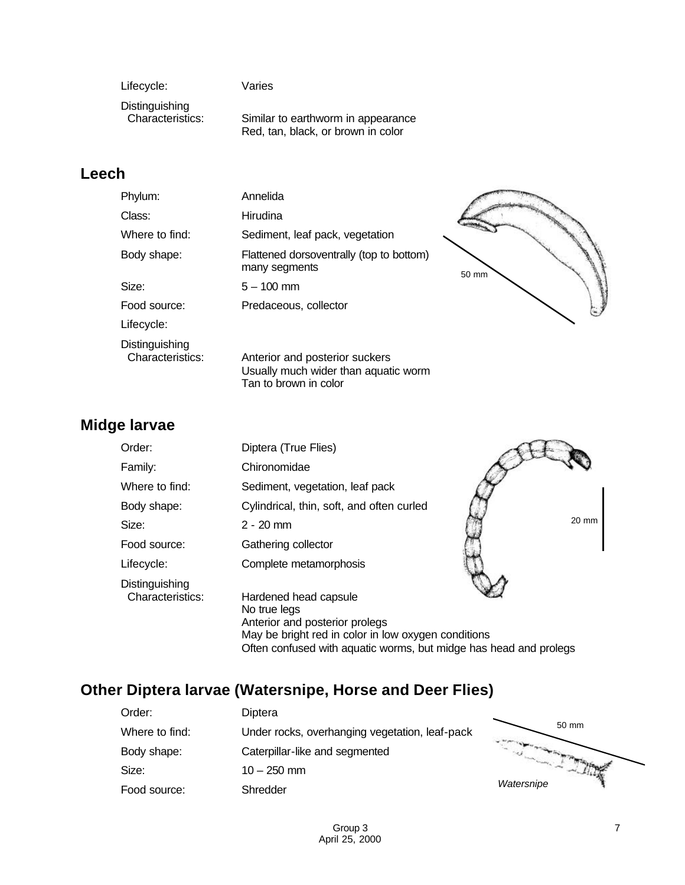Lifecycle: Varies

Distinguishing<br>Characteristics:

Similar to earthworm in appearance Red, tan, black, or brown in color

## **Leech**

| Phylum:                            | Annelida                                                                                        |       |
|------------------------------------|-------------------------------------------------------------------------------------------------|-------|
| Class:                             | Hirudina                                                                                        |       |
| Where to find:                     | Sediment, leaf pack, vegetation                                                                 |       |
| Body shape:                        | Flattened dorsoventrally (top to bottom)<br>many segments                                       | 50 mm |
| Size:                              | $5 - 100$ mm                                                                                    |       |
| Food source:                       | Predaceous, collector                                                                           |       |
| Lifecycle:                         |                                                                                                 |       |
| Distinguishing<br>Characteristics: | Anterior and posterior suckers<br>Usually much wider than aquatic worm<br>Tan to brown in color |       |

## **Midge larvae**

| Order:                             | Diptera (True Flies)                                                                                                                                                                                |       |
|------------------------------------|-----------------------------------------------------------------------------------------------------------------------------------------------------------------------------------------------------|-------|
| Family:                            | Chironomidae                                                                                                                                                                                        |       |
| Where to find:                     | Sediment, vegetation, leaf pack                                                                                                                                                                     |       |
| Body shape:                        | Cylindrical, thin, soft, and often curled                                                                                                                                                           |       |
| Size:                              | $2 - 20$ mm                                                                                                                                                                                         | 20 mm |
| Food source:                       | Gathering collector                                                                                                                                                                                 |       |
| Lifecycle:                         | Complete metamorphosis                                                                                                                                                                              |       |
| Distinguishing<br>Characteristics: | Hardened head capsule<br>No true legs<br>Anterior and posterior prolegs<br>May be bright red in color in low oxygen conditions<br>Often confused with aquatic worms, but midge has head and prolegs |       |

## **Other Diptera larvae (Watersnipe, Horse and Deer Flies)**

| Order:         | Diptera                                        |            |
|----------------|------------------------------------------------|------------|
| Where to find: | Under rocks, overhanging vegetation, leaf-pack | 50 mm      |
| Body shape:    | Caterpillar-like and segmented                 |            |
| Size:          | $10 - 250$ mm                                  |            |
| Food source:   | Shredder                                       | Watersnipe |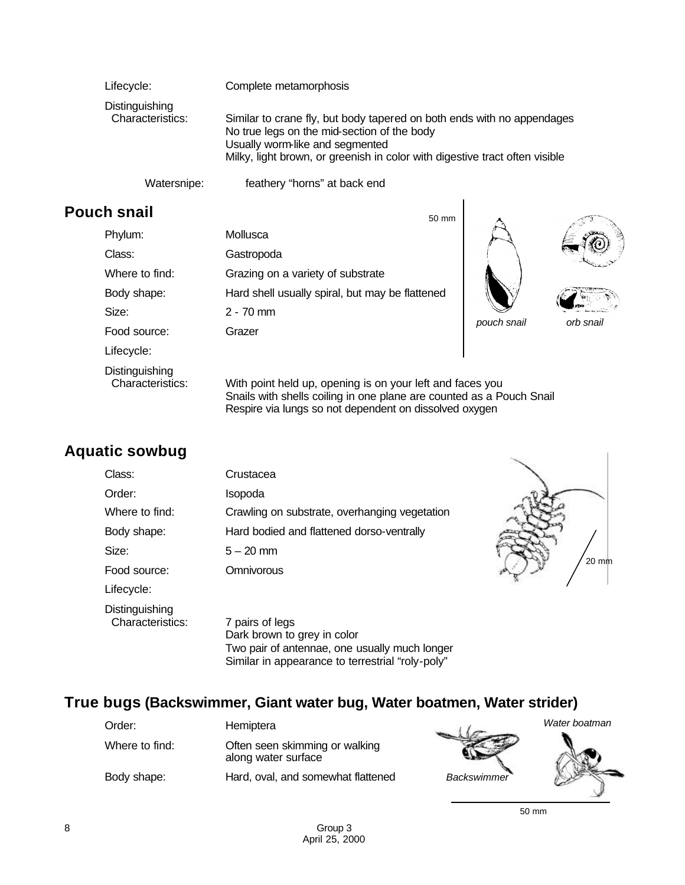| Lifecycle:                                | Complete metamorphosis                                                                                                                                                                                                                  |
|-------------------------------------------|-----------------------------------------------------------------------------------------------------------------------------------------------------------------------------------------------------------------------------------------|
| <b>Distinguishing</b><br>Characteristics: | Similar to crane fly, but body tapered on both ends with no appendages<br>No true legs on the mid-section of the body<br>Usually worm-like and segmented<br>Milky, light brown, or greenish in color with digestive tract often visible |

Watersnipe: feathery "horns" at back end

## **Pouch snail**

| Phylum:                            | Mollusca                                                                                                                          |             |          |
|------------------------------------|-----------------------------------------------------------------------------------------------------------------------------------|-------------|----------|
| Class:                             | Gastropoda                                                                                                                        |             |          |
| Where to find:                     | Grazing on a variety of substrate                                                                                                 |             |          |
| Body shape:                        | Hard shell usually spiral, but may be flattened                                                                                   |             |          |
| Size:                              | $2 - 70$ mm                                                                                                                       |             |          |
| Food source:                       | Grazer                                                                                                                            | pouch snail | orb snai |
| Lifecycle:                         |                                                                                                                                   |             |          |
| Distinguishing<br>Characteristics: | With point held up, opening is on your left and faces you<br>Snails with shells coiling in one plane are counted as a Pouch Snail |             |          |

50 mm

Respire via lungs so not dependent on dissolved oxygen

## **Aquatic sowbug**

| Class:                             | Crustacea                                                                                       |  |
|------------------------------------|-------------------------------------------------------------------------------------------------|--|
| Order:                             | Isopoda                                                                                         |  |
| Where to find:                     | Crawling on substrate, overhanging vegetation                                                   |  |
| Body shape:                        | Hard bodied and flattened dorso-ventrally                                                       |  |
| Size:                              | $5 - 20$ mm                                                                                     |  |
| Food source:                       | Omnivorous                                                                                      |  |
| Lifecycle:                         |                                                                                                 |  |
| Distinguishing<br>Characteristics: | 7 pairs of legs<br>Dark brown to grey in color<br>Two pair of aptennae, one usually much longer |  |

Two pair of antennae, one usually much longer Similar in appearance to terrestrial "roly-poly"

## **True bugs (Backswimmer, Giant water bug, Water boatmen, Water strider)**

| Order:         | Hemiptera                                             |
|----------------|-------------------------------------------------------|
| Where to find: | Often seen skimming or walking<br>along water surface |
| Body shape:    | Hard, oval, and somewhat flattened                    |



20 mm

50 mm